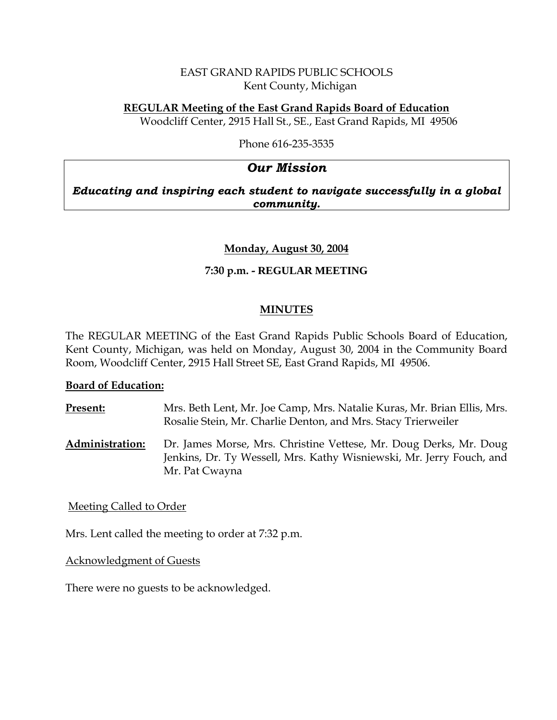### EAST GRAND RAPIDS PUBLIC SCHOOLS Kent County, Michigan

# **REGULAR Meeting of the East Grand Rapids Board of Education**

Woodcliff Center, 2915 Hall St., SE., East Grand Rapids, MI 49506

Phone 616-235-3535

# *Our Mission*

*Educating and inspiring each student to navigate successfully in a global community.*

### **Monday, August 30, 2004**

# **7:30 p.m. - REGULAR MEETING**

### **MINUTES**

The REGULAR MEETING of the East Grand Rapids Public Schools Board of Education, Kent County, Michigan, was held on Monday, August 30, 2004 in the Community Board Room, Woodcliff Center, 2915 Hall Street SE, East Grand Rapids, MI 49506.

### **Board of Education:**

**Present:** Mrs. Beth Lent, Mr. Joe Camp, Mrs. Natalie Kuras, Mr. Brian Ellis, Mrs. Rosalie Stein, Mr. Charlie Denton, and Mrs. Stacy Trierweiler **Administration:** Dr. James Morse, Mrs. Christine Vettese, Mr. Doug Derks, Mr. Doug Jenkins, Dr. Ty Wessell, Mrs. Kathy Wisniewski, Mr. Jerry Fouch, and

Meeting Called to Order

Mrs. Lent called the meeting to order at 7:32 p.m.

Mr. Pat Cwayna

Acknowledgment of Guests

There were no guests to be acknowledged.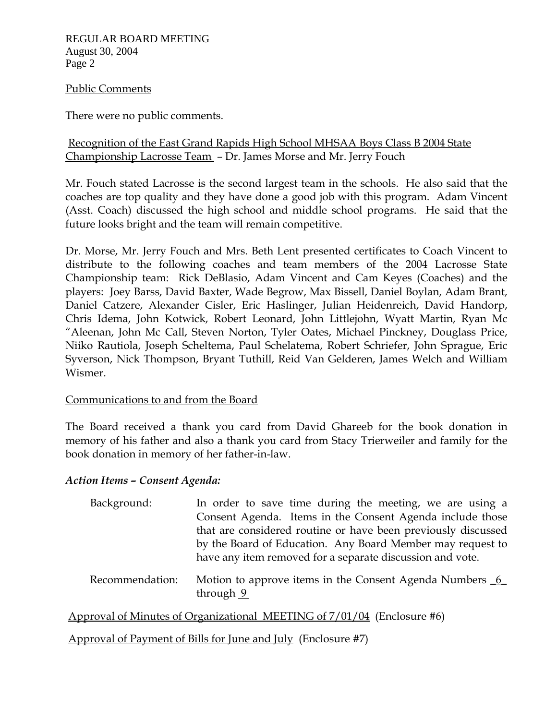REGULAR BOARD MEETING August 30, 2004 Page 2

#### Public Comments

There were no public comments.

## Recognition of the East Grand Rapids High School MHSAA Boys Class B 2004 State Championship Lacrosse Team – Dr. James Morse and Mr. Jerry Fouch

Mr. Fouch stated Lacrosse is the second largest team in the schools. He also said that the coaches are top quality and they have done a good job with this program. Adam Vincent (Asst. Coach) discussed the high school and middle school programs. He said that the future looks bright and the team will remain competitive.

Dr. Morse, Mr. Jerry Fouch and Mrs. Beth Lent presented certificates to Coach Vincent to distribute to the following coaches and team members of the 2004 Lacrosse State Championship team: Rick DeBlasio, Adam Vincent and Cam Keyes (Coaches) and the players: Joey Barss, David Baxter, Wade Begrow, Max Bissell, Daniel Boylan, Adam Brant, Daniel Catzere, Alexander Cisler, Eric Haslinger, Julian Heidenreich, David Handorp, Chris Idema, John Kotwick, Robert Leonard, John Littlejohn, Wyatt Martin, Ryan Mc "Aleenan, John Mc Call, Steven Norton, Tyler Oates, Michael Pinckney, Douglass Price, Niiko Rautiola, Joseph Scheltema, Paul Schelatema, Robert Schriefer, John Sprague, Eric Syverson, Nick Thompson, Bryant Tuthill, Reid Van Gelderen, James Welch and William Wismer.

### Communications to and from the Board

The Board received a thank you card from David Ghareeb for the book donation in memory of his father and also a thank you card from Stacy Trierweiler and family for the book donation in memory of her father-in-law.

### *Action Items – Consent Agenda:*

| Background: | In order to save time during the meeting, we are using a      |
|-------------|---------------------------------------------------------------|
|             | Consent Agenda. Items in the Consent Agenda include those     |
|             | that are considered routine or have been previously discussed |
|             | by the Board of Education. Any Board Member may request to    |
|             | have any item removed for a separate discussion and vote.     |
|             |                                                               |

Recommendation: Motion to approve items in the Consent Agenda Numbers 6 through  $9$ 

Approval of Minutes of Organizational MEETING of 7/01/04 (Enclosure #6)

Approval of Payment of Bills for June and July (Enclosure #7)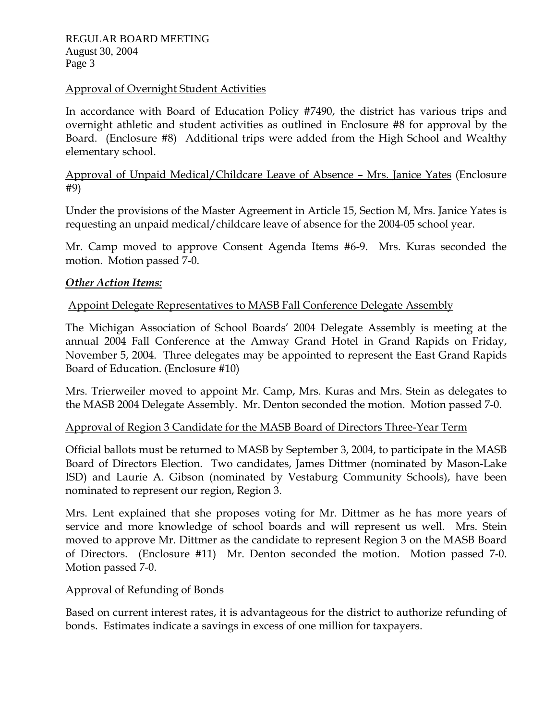### Approval of Overnight Student Activities

In accordance with Board of Education Policy #7490, the district has various trips and overnight athletic and student activities as outlined in Enclosure #8 for approval by the Board. (Enclosure #8) Additional trips were added from the High School and Wealthy elementary school.

Approval of Unpaid Medical/Childcare Leave of Absence – Mrs. Janice Yates (Enclosure #9)

Under the provisions of the Master Agreement in Article 15, Section M, Mrs. Janice Yates is requesting an unpaid medical/childcare leave of absence for the 2004-05 school year.

Mr. Camp moved to approve Consent Agenda Items #6-9. Mrs. Kuras seconded the motion. Motion passed 7-0.

### *Other Action Items:*

### Appoint Delegate Representatives to MASB Fall Conference Delegate Assembly

The Michigan Association of School Boards' 2004 Delegate Assembly is meeting at the annual 2004 Fall Conference at the Amway Grand Hotel in Grand Rapids on Friday, November 5, 2004. Three delegates may be appointed to represent the East Grand Rapids Board of Education. (Enclosure #10)

Mrs. Trierweiler moved to appoint Mr. Camp, Mrs. Kuras and Mrs. Stein as delegates to the MASB 2004 Delegate Assembly. Mr. Denton seconded the motion. Motion passed 7-0.

### Approval of Region 3 Candidate for the MASB Board of Directors Three-Year Term

Official ballots must be returned to MASB by September 3, 2004, to participate in the MASB Board of Directors Election. Two candidates, James Dittmer (nominated by Mason-Lake ISD) and Laurie A. Gibson (nominated by Vestaburg Community Schools), have been nominated to represent our region, Region 3.

Mrs. Lent explained that she proposes voting for Mr. Dittmer as he has more years of service and more knowledge of school boards and will represent us well. Mrs. Stein moved to approve Mr. Dittmer as the candidate to represent Region 3 on the MASB Board of Directors. (Enclosure #11) Mr. Denton seconded the motion. Motion passed 7-0. Motion passed 7-0.

### Approval of Refunding of Bonds

Based on current interest rates, it is advantageous for the district to authorize refunding of bonds. Estimates indicate a savings in excess of one million for taxpayers.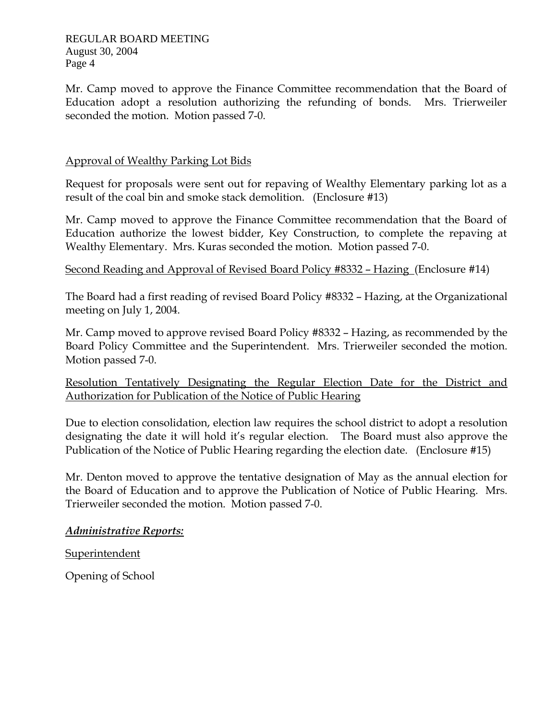Mr. Camp moved to approve the Finance Committee recommendation that the Board of Education adopt a resolution authorizing the refunding of bonds. Mrs. Trierweiler seconded the motion. Motion passed 7-0.

## Approval of Wealthy Parking Lot Bids

Request for proposals were sent out for repaving of Wealthy Elementary parking lot as a result of the coal bin and smoke stack demolition. (Enclosure #13)

Mr. Camp moved to approve the Finance Committee recommendation that the Board of Education authorize the lowest bidder, Key Construction, to complete the repaving at Wealthy Elementary. Mrs. Kuras seconded the motion. Motion passed 7-0.

Second Reading and Approval of Revised Board Policy #8332 – Hazing (Enclosure #14)

The Board had a first reading of revised Board Policy #8332 – Hazing, at the Organizational meeting on July 1, 2004.

Mr. Camp moved to approve revised Board Policy #8332 – Hazing, as recommended by the Board Policy Committee and the Superintendent. Mrs. Trierweiler seconded the motion. Motion passed 7-0.

Resolution Tentatively Designating the Regular Election Date for the District and Authorization for Publication of the Notice of Public Hearing

Due to election consolidation, election law requires the school district to adopt a resolution designating the date it will hold it's regular election. The Board must also approve the Publication of the Notice of Public Hearing regarding the election date. (Enclosure #15)

Mr. Denton moved to approve the tentative designation of May as the annual election for the Board of Education and to approve the Publication of Notice of Public Hearing. Mrs. Trierweiler seconded the motion. Motion passed 7-0.

### *Administrative Reports:*

**Superintendent** 

Opening of School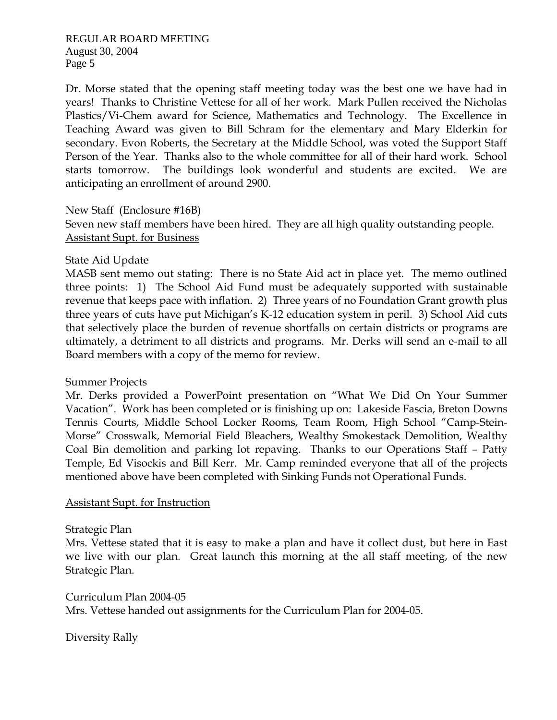REGULAR BOARD MEETING August 30, 2004 Page 5

Dr. Morse stated that the opening staff meeting today was the best one we have had in years! Thanks to Christine Vettese for all of her work. Mark Pullen received the Nicholas Plastics/Vi-Chem award for Science, Mathematics and Technology. The Excellence in Teaching Award was given to Bill Schram for the elementary and Mary Elderkin for secondary. Evon Roberts, the Secretary at the Middle School, was voted the Support Staff Person of the Year. Thanks also to the whole committee for all of their hard work. School starts tomorrow. The buildings look wonderful and students are excited. We are anticipating an enrollment of around 2900.

New Staff (Enclosure #16B)

Seven new staff members have been hired. They are all high quality outstanding people. Assistant Supt. for Business

#### State Aid Update

MASB sent memo out stating: There is no State Aid act in place yet. The memo outlined three points: 1) The School Aid Fund must be adequately supported with sustainable revenue that keeps pace with inflation. 2) Three years of no Foundation Grant growth plus three years of cuts have put Michigan's K-12 education system in peril. 3) School Aid cuts that selectively place the burden of revenue shortfalls on certain districts or programs are ultimately, a detriment to all districts and programs. Mr. Derks will send an e-mail to all Board members with a copy of the memo for review.

### Summer Projects

Mr. Derks provided a PowerPoint presentation on "What We Did On Your Summer Vacation". Work has been completed or is finishing up on: Lakeside Fascia, Breton Downs Tennis Courts, Middle School Locker Rooms, Team Room, High School "Camp-Stein-Morse" Crosswalk, Memorial Field Bleachers, Wealthy Smokestack Demolition, Wealthy Coal Bin demolition and parking lot repaving. Thanks to our Operations Staff – Patty Temple, Ed Visockis and Bill Kerr. Mr. Camp reminded everyone that all of the projects mentioned above have been completed with Sinking Funds not Operational Funds.

#### Assistant Supt. for Instruction

Strategic Plan

Mrs. Vettese stated that it is easy to make a plan and have it collect dust, but here in East we live with our plan. Great launch this morning at the all staff meeting, of the new Strategic Plan.

Curriculum Plan 2004-05 Mrs. Vettese handed out assignments for the Curriculum Plan for 2004-05.

Diversity Rally